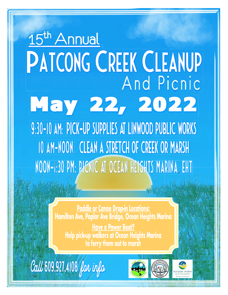# 15<sup>th</sup> Annual PATCONG CREEK CLEANUP And Picnic May 22, 2022 9:30-10 AM: PICK-UP SUPPLIES AT LINWOOD PUBLIC WORKS 10 AM-NOON: CLEAN A STRETCH OF CREEK OR MARSH NOON-1:30 PM: PICNIC AT OCEAN HEIGHTS MARINA, EHT

Paddle or Canoe Drop-in Locations:<br>Hamilton Ave, Poplar Ave Bridge, Ocean Heights Marina

**Have a Power Boat?** Help pick-up walkers at Ocean Heights Marina<br>to ferry them out to marsh

Call 609.927.4108 far info



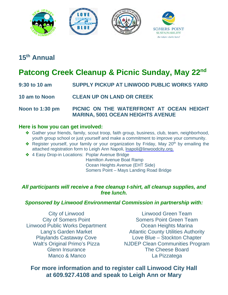

### **15th Annual**

## **Patcong Creek Cleanup & Picnic Sunday, May 22nd**

- **9:30 to 10 am SUPPLY PICKUP AT LINWOOD PUBLIC WORKS YARD**
- **10 am to Noon CLEAN UP ON LAND OR CREEK**
- **Noon to 1:30 pm PICNIC ON THE WATERFRONT AT OCEAN HEIGHT MARINA, 5001 OCEAN HEIGHTS AVENUE**

#### **Here is how you can get involved:**

- ❖ Gather your friends, family, scout troop, faith group, business, club, team, neighborhood, youth group school or just yourself and make a commitment to improve your community.
- ◆ Register yourself, your family or your organization by Friday, May 20<sup>th</sup> by emailing the attached registration form to Leigh Ann Napoli, Inapoli@linwoodcity.org.
- ❖ 4 Easy Drop-in Locations: Poplar Avenue Bridge Hamilton Avenue Boat Ramp Ocean Heights Avenue (EHT Side) Somers Point – Mays Landing Road Bridge

#### *All participants will receive a free cleanup t-shirt, all cleanup supplies, and free lunch.*

#### *Sponsored by Linwood Environmental Commission in partnership with:*

City of Linwood City of Somers Point Linwood Public Works Department Lang's Garden Market Playlands Castaway Cove Walt's Original Primo's Pizza Glenn Insurance Manco & Manco

Linwood Green Team Somers Point Green Team Ocean Heights Marina Atlantic County Utilities Authority Love Blue – Stockton Chapter NJDEP Clean Communities Program The Cheese Board La Pizzatega

#### **For more information and to register call Linwood City Hall at 609.927.4108 and speak to Leigh Ann or Mary**